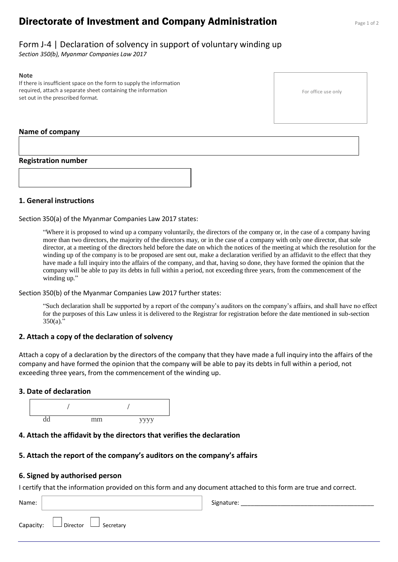# **Directorate of Investment and Company Administration** Page 1 of 2

# Form J-4 | Declaration of solvency in support of voluntary winding up

*Section 350(b), Myanmar Companies Law 2017*

#### **Note**

If there is insufficient space on the form to supply the information required, attach a separate sheet containing the information set out in the prescribed format.

#### **Name of company**

#### **Registration number**



# **1. General instructions**

Section 350(a) of the Myanmar Companies Law 2017 states:

"Where it is proposed to wind up a company voluntarily, the directors of the company or, in the case of a company having more than two directors, the majority of the directors may, or in the case of a company with only one director, that sole director, at a meeting of the directors held before the date on which the notices of the meeting at which the resolution for the winding up of the company is to be proposed are sent out, make a declaration verified by an affidavit to the effect that they have made a full inquiry into the affairs of the company, and that, having so done, they have formed the opinion that the company will be able to pay its debts in full within a period, not exceeding three years, from the commencement of the winding up."

Section 350(b) of the Myanmar Companies Law 2017 further states:

"Such declaration shall be supported by a report of the company's auditors on the company's affairs, and shall have no effect for the purposes of this Law unless it is delivered to the Registrar for registration before the date mentioned in sub-section 350(a)."

# **2. Attach a copy of the declaration of solvency**

Attach a copy of a declaration by the directors of the company that they have made a full inquiry into the affairs of the company and have formed the opinion that the company will be able to pay its debts in full within a period, not exceeding three years, from the commencement of the winding up.

#### **3. Date of declaration**



# **4. Attach the affidavit by the directors that verifies the declaration**

# **5. Attach the report of the company's auditors on the company's affairs**

#### **6. Signed by authorised person**

I certify that the information provided on this form and any document attached to this form are true and correct.

| Name: |                                            | Signature: |
|-------|--------------------------------------------|------------|
|       | Capacity: $\Box$ Director $\Box$ Secretary |            |

For office use only